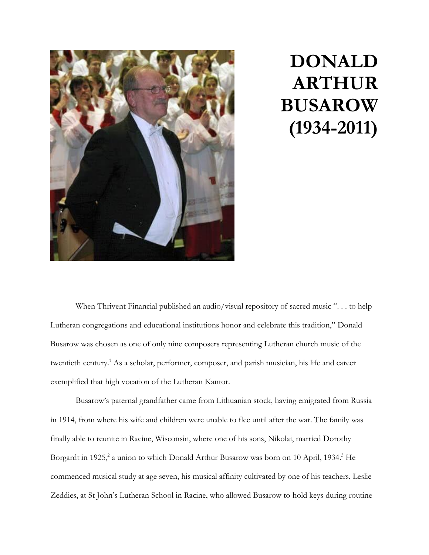

## **DONALD ARTHUR BUSAROW (1934-2011)**

When Thrivent Financial published an audio/visual repository of sacred music "... to help Lutheran congregations and educational institutions honor and celebrate this tradition," Donald Busarow was chosen as one of only nine composers representing Lutheran church music of the twentieth century. <sup>1</sup> As a scholar, performer, composer, and parish musician, his life and career exemplified that high vocation of the Lutheran Kantor.

Busarow's paternal grandfather came from Lithuanian stock, having emigrated from Russia in 1914, from where his wife and children were unable to flee until after the war. The family was finally able to reunite in Racine, Wisconsin, where one of his sons, Nikolai, married Dorothy Borgardt in 1925,<sup>2</sup> a union to which Donald Arthur Busarow was born on 10 April, 1934.<sup>3</sup> He commenced musical study at age seven, his musical affinity cultivated by one of his teachers, Leslie Zeddies, at St John's Lutheran School in Racine, who allowed Busarow to hold keys during routine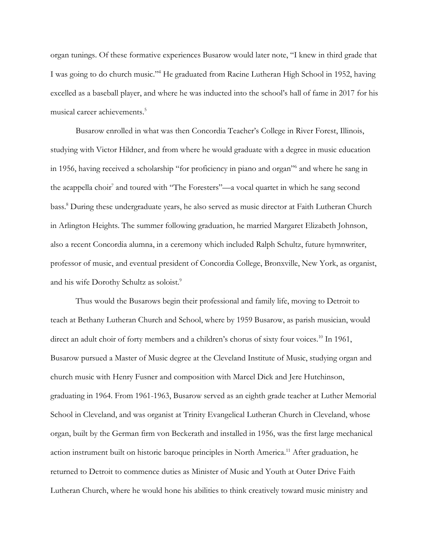organ tunings. Of these formative experiences Busarow would later note, "I knew in third grade that I was going to do church music."<sup>4</sup> He graduated from Racine Lutheran High School in 1952, having excelled as a baseball player, and where he was inducted into the school's hall of fame in 2017 for his musical career achievements. 5

Busarow enrolled in what was then Concordia Teacher's College in River Forest, Illinois, studying with Victor Hildner, and from where he would graduate with a degree in music education in 1956, having received a scholarship "for proficiency in piano and organ"<sup>6</sup> and where he sang in the acappella choir<sup>7</sup> and toured with "The Foresters"—a vocal quartet in which he sang second bass. <sup>8</sup> During these undergraduate years, he also served as music director at Faith Lutheran Church in Arlington Heights. The summer following graduation, he married Margaret Elizabeth Johnson, also a recent Concordia alumna, in a ceremony which included Ralph Schultz, future hymnwriter, professor of music, and eventual president of Concordia College, Bronxville, New York, as organist, and his wife Dorothy Schultz as soloist.<sup>9</sup>

Thus would the Busarows begin their professional and family life, moving to Detroit to teach at Bethany Lutheran Church and School, where by 1959 Busarow, as parish musician, would direct an adult choir of forty members and a children's chorus of sixty four voices.<sup>10</sup> In 1961, Busarow pursued a Master of Music degree at the Cleveland Institute of Music, studying organ and church music with Henry Fusner and composition with Marcel Dick and Jere Hutchinson, graduating in 1964. From 1961-1963, Busarow served as an eighth grade teacher at Luther Memorial School in Cleveland, and was organist at Trinity Evangelical Lutheran Church in Cleveland, whose organ, built by the German firm von Beckerath and installed in 1956, was the first large mechanical action instrument built on historic baroque principles in North America.<sup>11</sup> After graduation, he returned to Detroit to commence duties as Minister of Music and Youth at Outer Drive Faith Lutheran Church, where he would hone his abilities to think creatively toward music ministry and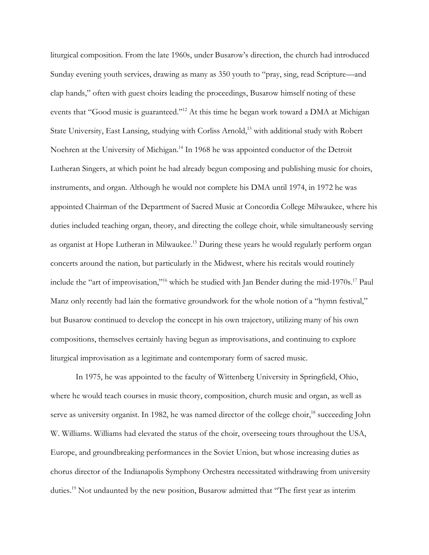liturgical composition. From the late 1960s, under Busarow's direction, the church had introduced Sunday evening youth services, drawing as many as 350 youth to "pray, sing, read Scripture—and clap hands," often with guest choirs leading the proceedings, Busarow himself noting of these events that "Good music is guaranteed."<sup>12</sup> At this time he began work toward a DMA at Michigan State University, East Lansing, studying with Corliss Arnold,<sup>13</sup> with additional study with Robert Noehren at the University of Michigan.<sup>14</sup> In 1968 he was appointed conductor of the Detroit Lutheran Singers, at which point he had already begun composing and publishing music for choirs, instruments, and organ. Although he would not complete his DMA until 1974, in 1972 he was appointed Chairman of the Department of Sacred Music at Concordia College Milwaukee, where his duties included teaching organ, theory, and directing the college choir, while simultaneously serving as organist at Hope Lutheran in Milwaukee. <sup>15</sup> During these years he would regularly perform organ concerts around the nation, but particularly in the Midwest, where his recitals would routinely include the "art of improvisation,"<sup>16</sup> which he studied with Jan Bender during the mid-1970s.<sup>17</sup> Paul Manz only recently had lain the formative groundwork for the whole notion of a "hymn festival," but Busarow continued to develop the concept in his own trajectory, utilizing many of his own compositions, themselves certainly having begun as improvisations, and continuing to explore liturgical improvisation as a legitimate and contemporary form of sacred music.

In 1975, he was appointed to the faculty of Wittenberg University in Springfield, Ohio, where he would teach courses in music theory, composition, church music and organ, as well as serve as university organist. In 1982, he was named director of the college choir,<sup>18</sup> succeeding John W. Williams. Williams had elevated the status of the choir, overseeing tours throughout the USA, Europe, and groundbreaking performances in the Soviet Union, but whose increasing duties as chorus director of the Indianapolis Symphony Orchestra necessitated withdrawing from university duties.<sup>19</sup> Not undaunted by the new position, Busarow admitted that "The first year as interim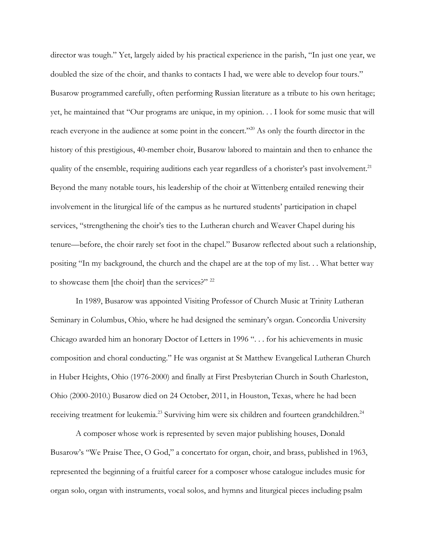director was tough." Yet, largely aided by his practical experience in the parish, "In just one year, we doubled the size of the choir, and thanks to contacts I had, we were able to develop four tours." Busarow programmed carefully, often performing Russian literature as a tribute to his own heritage; yet, he maintained that "Our programs are unique, in my opinion. . . I look for some music that will reach everyone in the audience at some point in the concert."<sup>20</sup> As only the fourth director in the history of this prestigious, 40-member choir, Busarow labored to maintain and then to enhance the quality of the ensemble, requiring auditions each year regardless of a chorister's past involvement.<sup>21</sup> Beyond the many notable tours, his leadership of the choir at Wittenberg entailed renewing their involvement in the liturgical life of the campus as he nurtured students' participation in chapel services, "strengthening the choir's ties to the Lutheran church and Weaver Chapel during his tenure—before, the choir rarely set foot in the chapel." Busarow reflected about such a relationship, positing "In my background, the church and the chapel are at the top of my list. . . What better way to showcase them [the choir] than the services?" <sup>22</sup>

In 1989, Busarow was appointed Visiting Professor of Church Music at Trinity Lutheran Seminary in Columbus, Ohio, where he had designed the seminary's organ. Concordia University Chicago awarded him an honorary Doctor of Letters in 1996 ". . . for his achievements in music composition and choral conducting." He was organist at St Matthew Evangelical Lutheran Church in Huber Heights, Ohio (1976-2000) and finally at First Presbyterian Church in South Charleston, Ohio (2000-2010.) Busarow died on 24 October, 2011, in Houston, Texas, where he had been receiving treatment for leukemia.<sup>23</sup> Surviving him were six children and fourteen grandchildren.<sup>24</sup>

A composer whose work is represented by seven major publishing houses, Donald Busarow's "We Praise Thee, O God," a concertato for organ, choir, and brass, published in 1963, represented the beginning of a fruitful career for a composer whose catalogue includes music for organ solo, organ with instruments, vocal solos, and hymns and liturgical pieces including psalm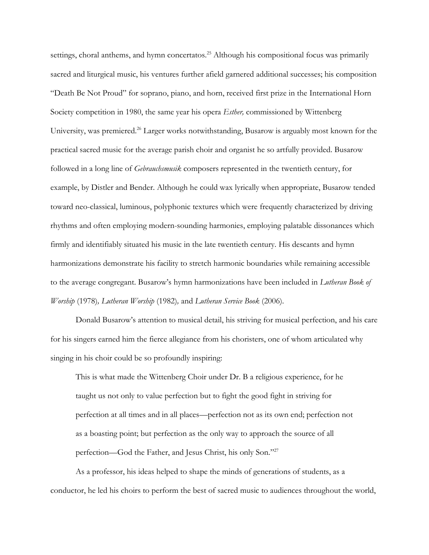settings, choral anthems, and hymn concertatos.<sup>25</sup> Although his compositional focus was primarily sacred and liturgical music, his ventures further afield garnered additional successes; his composition "Death Be Not Proud" for soprano, piano, and horn, received first prize in the International Horn Society competition in 1980, the same year his opera *Esther,* commissioned by Wittenberg University, was premiered.<sup>26</sup> Larger works notwithstanding, Busarow is arguably most known for the practical sacred music for the average parish choir and organist he so artfully provided. Busarow followed in a long line of *Gebrauchsmusik* composers represented in the twentieth century, for example, by Distler and Bender. Although he could wax lyrically when appropriate, Busarow tended toward neo-classical, luminous, polyphonic textures which were frequently characterized by driving rhythms and often employing modern-sounding harmonies, employing palatable dissonances which firmly and identifiably situated his music in the late twentieth century. His descants and hymn harmonizations demonstrate his facility to stretch harmonic boundaries while remaining accessible to the average congregant. Busarow's hymn harmonizations have been included in *Lutheran Book of Worship* (1978)*, Lutheran Worship* (1982)*,* and *Lutheran Service Book* (2006)*.* 

Donald Busarow's attention to musical detail, his striving for musical perfection, and his care for his singers earned him the fierce allegiance from his choristers, one of whom articulated why singing in his choir could be so profoundly inspiring:

This is what made the Wittenberg Choir under Dr. B a religious experience, for he taught us not only to value perfection but to fight the good fight in striving for perfection at all times and in all places—perfection not as its own end; perfection not as a boasting point; but perfection as the only way to approach the source of all perfection—God the Father, and Jesus Christ, his only Son."<sup>27</sup>

As a professor, his ideas helped to shape the minds of generations of students, as a conductor, he led his choirs to perform the best of sacred music to audiences throughout the world,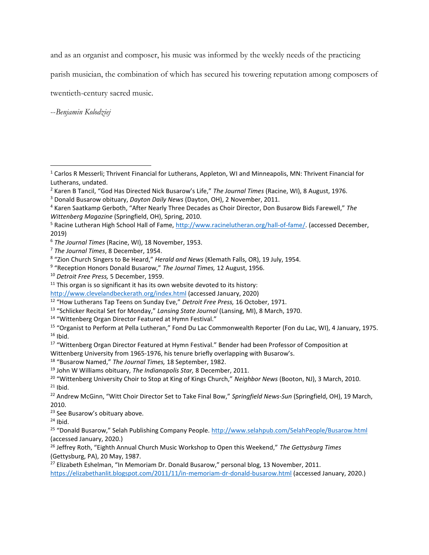and as an organist and composer, his music was informed by the weekly needs of the practicing

parish musician, the combination of which has secured his towering reputation among composers of

twentieth-century sacred music.

--*Benjamin Kolodziej*

<sup>5</sup> Racine Lutheran High School Hall of Fame, [http://www.racinelutheran.org/hall-of-fame/.](http://www.racinelutheran.org/hall-of-fame/) (accessed December, 2019)

<http://www.clevelandbeckerath.org/index.html> (accessed January, 2020)

Wittenberg University from 1965-1976, his tenure briefly overlapping with Busarow's.

 $24$  Ibid.

<sup>26</sup> Jeffrey Roth, "Eighth Annual Church Music Workshop to Open this Weekend," *The Gettysburg Times*  (Gettysburg, PA), 20 May, 1987.

<sup>27</sup> Elizabeth Eshelman, "In Memoriam Dr. Donald Busarow," personal blog, 13 November, 2011. <https://elizabethanlit.blogspot.com/2011/11/in-memoriam-dr-donald-busarow.html> (accessed January, 2020.)

<sup>1</sup> Carlos R Messerli; Thrivent Financial for Lutherans, Appleton, WI and Minneapolis, MN: Thrivent Financial for Lutherans, undated.

<sup>2</sup> Karen B Tancil, "God Has Directed Nick Busarow's Life," *The Journal Times* (Racine, WI), 8 August, 1976.

<sup>3</sup> Donald Busarow obituary, *Dayton Daily News* (Dayton, OH), 2 November, 2011.

<sup>4</sup> Karen Saatkamp Gerboth, "After Nearly Three Decades as Choir Director, Don Busarow Bids Farewell," *The Wittenberg Magazine* (Springfield, OH), Spring, 2010.

<sup>6</sup> *The Journal Times* (Racine, WI), 18 November, 1953.

<sup>7</sup> *The Journal Times*, 8 December, 1954.

<sup>8</sup> "Zion Church Singers to Be Heard," *Herald and News* (Klemath Falls, OR), 19 July, 1954.

<sup>9</sup> "Reception Honors Donald Busarow," *The Journal Times,* 12 August, 1956.

<sup>10</sup> *Detroit Free Press,* 5 December, 1959.

 $11$  This organ is so significant it has its own website devoted to its history:

<sup>12</sup> "How Lutherans Tap Teens on Sunday Eve," *Detroit Free Press,* 16 October, 1971.

<sup>13</sup> "Schlicker Recital Set for Monday," *Lansing State Journal* (Lansing, MI), 8 March, 1970.

<sup>14</sup> "Wittenberg Organ Director Featured at Hymn Festival."

<sup>15</sup> "Organist to Perform at Pella Lutheran," Fond Du Lac Commonwealth Reporter (Fon du Lac, WI), 4 January, 1975.  $16$  Ibid.

<sup>&</sup>lt;sup>17</sup> "Wittenberg Organ Director Featured at Hymn Festival." Bender had been Professor of Composition at

<sup>18</sup> "Busarow Named," *The Journal Times,* 18 September, 1982.

<sup>19</sup> John W Williams obituary, *The Indianapolis Star,* 8 December, 2011.

<sup>20</sup> "Wittenberg University Choir to Stop at King of Kings Church," *Neighbor News* (Booton, NJ), 3 March, 2010.  $21$  Ibid.

<sup>22</sup> Andrew McGinn, "Witt Choir Director Set to Take Final Bow," *Springfield News-Sun* (Springfield, OH), 19 March, 2010.

<sup>&</sup>lt;sup>23</sup> See Busarow's obituary above.

<sup>25</sup> "Donald Busarow," Selah Publishing Company People. <http://www.selahpub.com/SelahPeople/Busarow.html> (accessed January, 2020.)